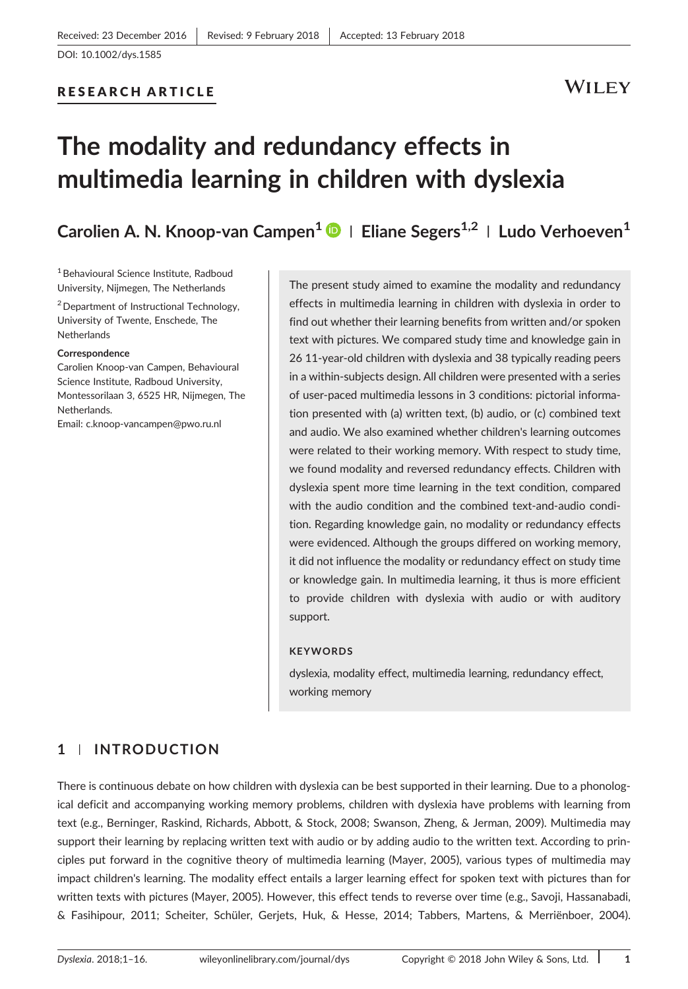# RESEARCH ARTICLE

# **WILEY**

# **The modality and redundancy effects in multimedia learning in children with dyslexia**

# **Carolien A. N. Knoop‐van Campen1 <sup>|</sup> Eliane Segers1,2 <sup>|</sup> Ludo Verhoeven<sup>1</sup>**

<sup>1</sup> Behavioural Science Institute, Radboud University, Nijmegen, The Netherlands

2Department of Instructional Technology, University of Twente, Enschede, The Netherlands

#### **Correspondence**

Carolien Knoop‐van Campen, Behavioural Science Institute, Radboud University, Montessorilaan 3, 6525 HR, Nijmegen, The Netherlands.

Email: c.knoop‐[vancampen@pwo.ru.nl](mailto:c.knoop-vancampen@pwo.ru.nl)

The present study aimed to examine the modality and redundancy effects in multimedia learning in children with dyslexia in order to find out whether their learning benefits from written and/or spoken text with pictures. We compared study time and knowledge gain in 26 11‐year‐old children with dyslexia and 38 typically reading peers in a within‐subjects design. All children were presented with a series of user‐paced multimedia lessons in 3 conditions: pictorial information presented with (a) written text, (b) audio, or (c) combined text and audio. We also examined whether children's learning outcomes were related to their working memory. With respect to study time, we found modality and reversed redundancy effects. Children with dyslexia spent more time learning in the text condition, compared with the audio condition and the combined text-and-audio condition. Regarding knowledge gain, no modality or redundancy effects were evidenced. Although the groups differed on working memory, it did not influence the modality or redundancy effect on study time or knowledge gain. In multimedia learning, it thus is more efficient to provide children with dyslexia with audio or with auditory support.

### **KEYWORDS**

dyslexia, modality effect, multimedia learning, redundancy effect, working memory

# **1** | **INTRODUCTION**

There is continuous debate on how children with dyslexia can be best supported in their learning. Due to a phonological deficit and accompanying working memory problems, children with dyslexia have problems with learning from text (e.g., Berninger, Raskind, Richards, Abbott, & Stock, 2008; Swanson, Zheng, & Jerman, 2009). Multimedia may support their learning by replacing written text with audio or by adding audio to the written text. According to principles put forward in the cognitive theory of multimedia learning (Mayer, 2005), various types of multimedia may impact children's learning. The modality effect entails a larger learning effect for spoken text with pictures than for written texts with pictures (Mayer, 2005). However, this effect tends to reverse over time (e.g., Savoji, Hassanabadi, & Fasihipour, 2011; Scheiter, Schüler, Gerjets, Huk, & Hesse, 2014; Tabbers, Martens, & Merriënboer, 2004).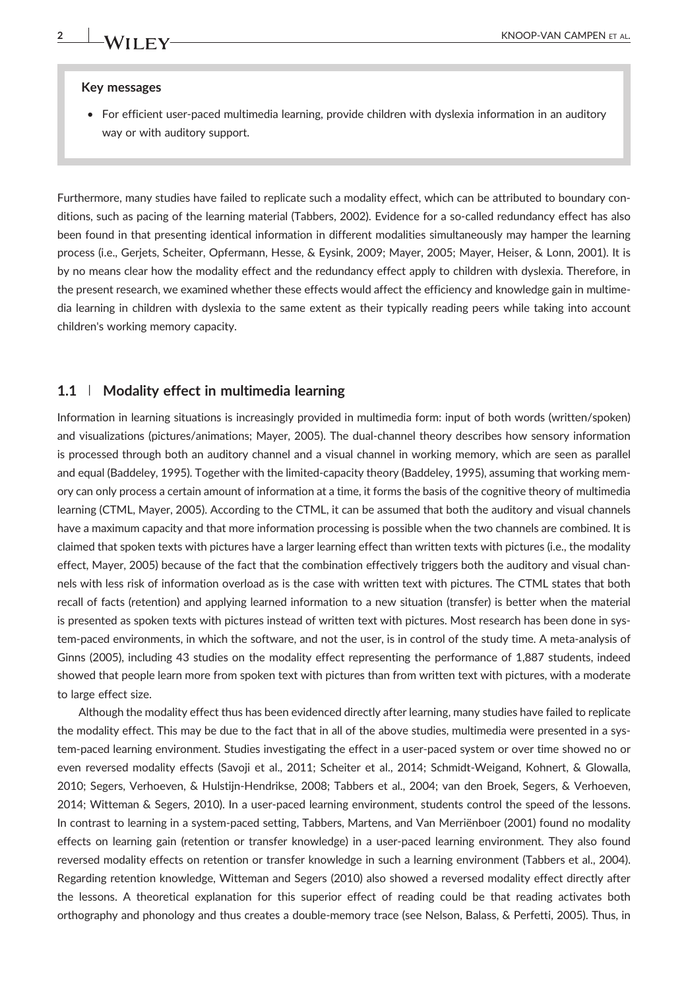#### **Key messages**

• For efficient user-paced multimedia learning, provide children with dyslexia information in an auditory way or with auditory support.

Furthermore, many studies have failed to replicate such a modality effect, which can be attributed to boundary conditions, such as pacing of the learning material (Tabbers, 2002). Evidence for a so-called redundancy effect has also been found in that presenting identical information in different modalities simultaneously may hamper the learning process (i.e., Gerjets, Scheiter, Opfermann, Hesse, & Eysink, 2009; Mayer, 2005; Mayer, Heiser, & Lonn, 2001). It is by no means clear how the modality effect and the redundancy effect apply to children with dyslexia. Therefore, in the present research, we examined whether these effects would affect the efficiency and knowledge gain in multimedia learning in children with dyslexia to the same extent as their typically reading peers while taking into account children's working memory capacity.

# **1.1** | **Modality effect in multimedia learning**

Information in learning situations is increasingly provided in multimedia form: input of both words (written/spoken) and visualizations (pictures/animations; Mayer, 2005). The dual‐channel theory describes how sensory information is processed through both an auditory channel and a visual channel in working memory, which are seen as parallel and equal (Baddeley, 1995). Together with the limited-capacity theory (Baddeley, 1995), assuming that working memory can only process a certain amount of information at a time, it forms the basis of the cognitive theory of multimedia learning (CTML, Mayer, 2005). According to the CTML, it can be assumed that both the auditory and visual channels have a maximum capacity and that more information processing is possible when the two channels are combined. It is claimed that spoken texts with pictures have a larger learning effect than written texts with pictures (i.e., the modality effect, Mayer, 2005) because of the fact that the combination effectively triggers both the auditory and visual channels with less risk of information overload as is the case with written text with pictures. The CTML states that both recall of facts (retention) and applying learned information to a new situation (transfer) is better when the material is presented as spoken texts with pictures instead of written text with pictures. Most research has been done in system-paced environments, in which the software, and not the user, is in control of the study time. A meta-analysis of Ginns (2005), including 43 studies on the modality effect representing the performance of 1,887 students, indeed showed that people learn more from spoken text with pictures than from written text with pictures, with a moderate to large effect size.

Although the modality effect thus has been evidenced directly after learning, many studies have failed to replicate the modality effect. This may be due to the fact that in all of the above studies, multimedia were presented in a system-paced learning environment. Studies investigating the effect in a user-paced system or over time showed no or even reversed modality effects (Savoji et al., 2011; Scheiter et al., 2014; Schmidt‐Weigand, Kohnert, & Glowalla, 2010; Segers, Verhoeven, & Hulstijn‐Hendrikse, 2008; Tabbers et al., 2004; van den Broek, Segers, & Verhoeven, 2014; Witteman & Segers, 2010). In a user‐paced learning environment, students control the speed of the lessons. In contrast to learning in a system-paced setting, Tabbers, Martens, and Van Merriënboer (2001) found no modality effects on learning gain (retention or transfer knowledge) in a user-paced learning environment. They also found reversed modality effects on retention or transfer knowledge in such a learning environment (Tabbers et al., 2004). Regarding retention knowledge, Witteman and Segers (2010) also showed a reversed modality effect directly after the lessons. A theoretical explanation for this superior effect of reading could be that reading activates both orthography and phonology and thus creates a double‐memory trace (see Nelson, Balass, & Perfetti, 2005). Thus, in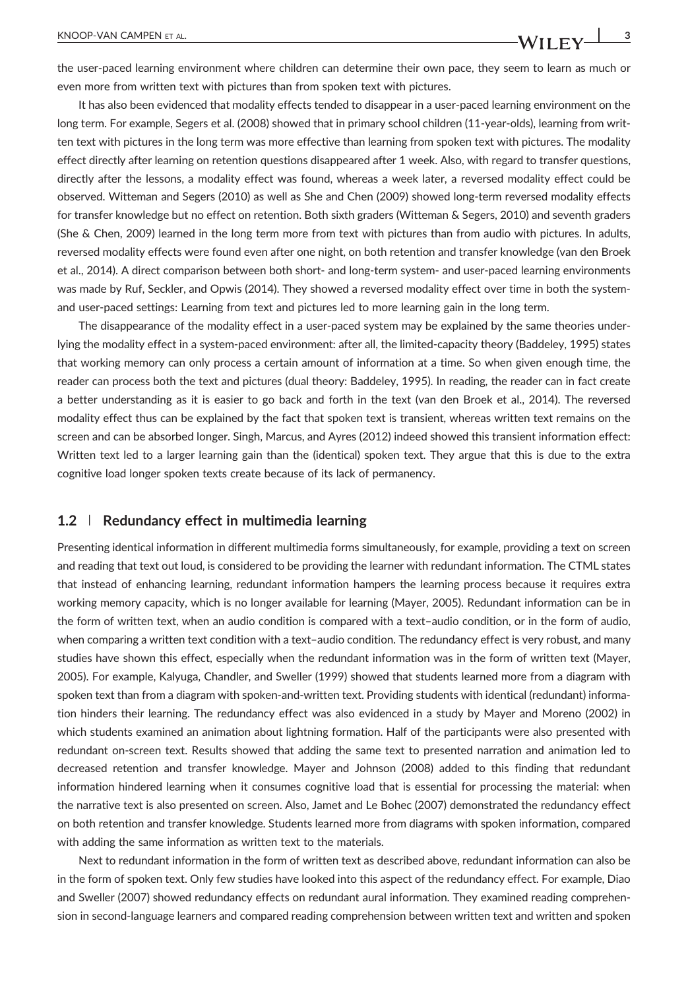the user‐paced learning environment where children can determine their own pace, they seem to learn as much or even more from written text with pictures than from spoken text with pictures.

It has also been evidenced that modality effects tended to disappear in a user‐paced learning environment on the long term. For example, Segers et al. (2008) showed that in primary school children (11-year-olds), learning from written text with pictures in the long term was more effective than learning from spoken text with pictures. The modality effect directly after learning on retention questions disappeared after 1 week. Also, with regard to transfer questions, directly after the lessons, a modality effect was found, whereas a week later, a reversed modality effect could be observed. Witteman and Segers (2010) as well as She and Chen (2009) showed long‐term reversed modality effects for transfer knowledge but no effect on retention. Both sixth graders (Witteman & Segers, 2010) and seventh graders (She & Chen, 2009) learned in the long term more from text with pictures than from audio with pictures. In adults, reversed modality effects were found even after one night, on both retention and transfer knowledge (van den Broek et al., 2014). A direct comparison between both short‐ and long‐term system‐ and user‐paced learning environments was made by Ruf, Seckler, and Opwis (2014). They showed a reversed modality effect over time in both the systemand user‐paced settings: Learning from text and pictures led to more learning gain in the long term.

The disappearance of the modality effect in a user-paced system may be explained by the same theories underlying the modality effect in a system‐paced environment: after all, the limited‐capacity theory (Baddeley, 1995) states that working memory can only process a certain amount of information at a time. So when given enough time, the reader can process both the text and pictures (dual theory: Baddeley, 1995). In reading, the reader can in fact create a better understanding as it is easier to go back and forth in the text (van den Broek et al., 2014). The reversed modality effect thus can be explained by the fact that spoken text is transient, whereas written text remains on the screen and can be absorbed longer. Singh, Marcus, and Ayres (2012) indeed showed this transient information effect: Written text led to a larger learning gain than the (identical) spoken text. They argue that this is due to the extra cognitive load longer spoken texts create because of its lack of permanency.

# **1.2** | **Redundancy effect in multimedia learning**

Presenting identical information in different multimedia forms simultaneously, for example, providing a text on screen and reading that text out loud, is considered to be providing the learner with redundant information. The CTML states that instead of enhancing learning, redundant information hampers the learning process because it requires extra working memory capacity, which is no longer available for learning (Mayer, 2005). Redundant information can be in the form of written text, when an audio condition is compared with a text–audio condition, or in the form of audio, when comparing a written text condition with a text–audio condition. The redundancy effect is very robust, and many studies have shown this effect, especially when the redundant information was in the form of written text (Mayer, 2005). For example, Kalyuga, Chandler, and Sweller (1999) showed that students learned more from a diagram with spoken text than from a diagram with spoken-and-written text. Providing students with identical (redundant) information hinders their learning. The redundancy effect was also evidenced in a study by Mayer and Moreno (2002) in which students examined an animation about lightning formation. Half of the participants were also presented with redundant on‐screen text. Results showed that adding the same text to presented narration and animation led to decreased retention and transfer knowledge. Mayer and Johnson (2008) added to this finding that redundant information hindered learning when it consumes cognitive load that is essential for processing the material: when the narrative text is also presented on screen. Also, Jamet and Le Bohec (2007) demonstrated the redundancy effect on both retention and transfer knowledge. Students learned more from diagrams with spoken information, compared with adding the same information as written text to the materials.

Next to redundant information in the form of written text as described above, redundant information can also be in the form of spoken text. Only few studies have looked into this aspect of the redundancy effect. For example, Diao and Sweller (2007) showed redundancy effects on redundant aural information. They examined reading comprehension in second‐language learners and compared reading comprehension between written text and written and spoken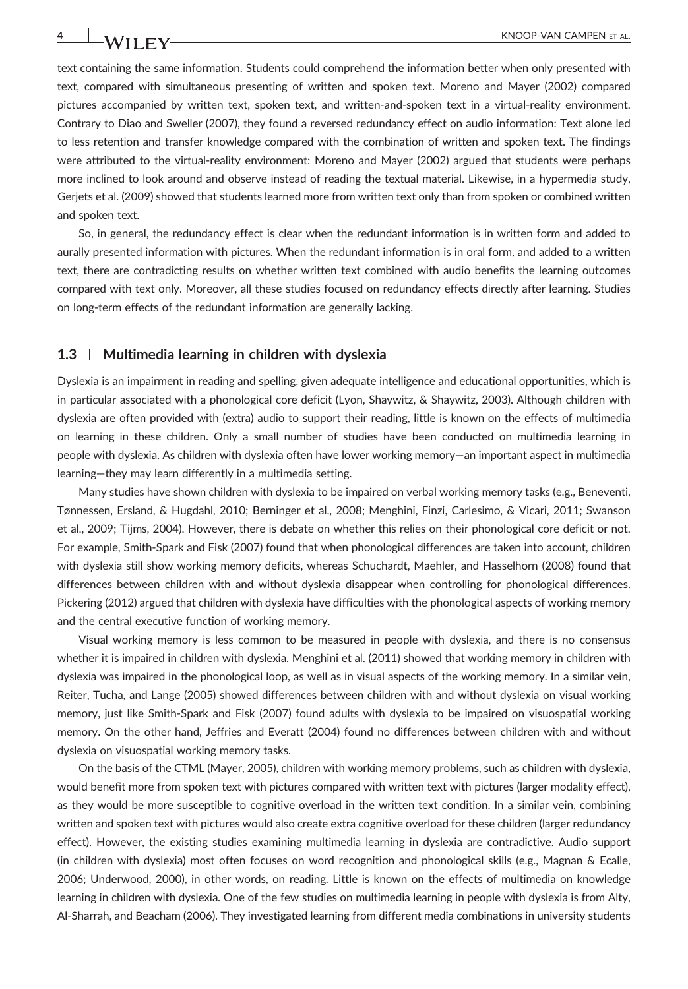text containing the same information. Students could comprehend the information better when only presented with text, compared with simultaneous presenting of written and spoken text. Moreno and Mayer (2002) compared pictures accompanied by written text, spoken text, and written-and-spoken text in a virtual-reality environment. Contrary to Diao and Sweller (2007), they found a reversed redundancy effect on audio information: Text alone led to less retention and transfer knowledge compared with the combination of written and spoken text. The findings were attributed to the virtual-reality environment: Moreno and Mayer (2002) argued that students were perhaps more inclined to look around and observe instead of reading the textual material. Likewise, in a hypermedia study, Gerjets et al. (2009) showed that students learned more from written text only than from spoken or combined written and spoken text.

So, in general, the redundancy effect is clear when the redundant information is in written form and added to aurally presented information with pictures. When the redundant information is in oral form, and added to a written text, there are contradicting results on whether written text combined with audio benefits the learning outcomes compared with text only. Moreover, all these studies focused on redundancy effects directly after learning. Studies on long‐term effects of the redundant information are generally lacking.

# **1.3** | **Multimedia learning in children with dyslexia**

Dyslexia is an impairment in reading and spelling, given adequate intelligence and educational opportunities, which is in particular associated with a phonological core deficit (Lyon, Shaywitz, & Shaywitz, 2003). Although children with dyslexia are often provided with (extra) audio to support their reading, little is known on the effects of multimedia on learning in these children. Only a small number of studies have been conducted on multimedia learning in people with dyslexia. As children with dyslexia often have lower working memory—an important aspect in multimedia learning—they may learn differently in a multimedia setting.

Many studies have shown children with dyslexia to be impaired on verbal working memory tasks (e.g., Beneventi, Tønnessen, Ersland, & Hugdahl, 2010; Berninger et al., 2008; Menghini, Finzi, Carlesimo, & Vicari, 2011; Swanson et al., 2009; Tijms, 2004). However, there is debate on whether this relies on their phonological core deficit or not. For example, Smith‐Spark and Fisk (2007) found that when phonological differences are taken into account, children with dyslexia still show working memory deficits, whereas Schuchardt, Maehler, and Hasselhorn (2008) found that differences between children with and without dyslexia disappear when controlling for phonological differences. Pickering (2012) argued that children with dyslexia have difficulties with the phonological aspects of working memory and the central executive function of working memory.

Visual working memory is less common to be measured in people with dyslexia, and there is no consensus whether it is impaired in children with dyslexia. Menghini et al. (2011) showed that working memory in children with dyslexia was impaired in the phonological loop, as well as in visual aspects of the working memory. In a similar vein, Reiter, Tucha, and Lange (2005) showed differences between children with and without dyslexia on visual working memory, just like Smith‐Spark and Fisk (2007) found adults with dyslexia to be impaired on visuospatial working memory. On the other hand, Jeffries and Everatt (2004) found no differences between children with and without dyslexia on visuospatial working memory tasks.

On the basis of the CTML (Mayer, 2005), children with working memory problems, such as children with dyslexia, would benefit more from spoken text with pictures compared with written text with pictures (larger modality effect), as they would be more susceptible to cognitive overload in the written text condition. In a similar vein, combining written and spoken text with pictures would also create extra cognitive overload for these children (larger redundancy effect). However, the existing studies examining multimedia learning in dyslexia are contradictive. Audio support (in children with dyslexia) most often focuses on word recognition and phonological skills (e.g., Magnan & Ecalle, 2006; Underwood, 2000), in other words, on reading. Little is known on the effects of multimedia on knowledge learning in children with dyslexia. One of the few studies on multimedia learning in people with dyslexia is from Alty, Al‐Sharrah, and Beacham (2006). They investigated learning from different media combinations in university students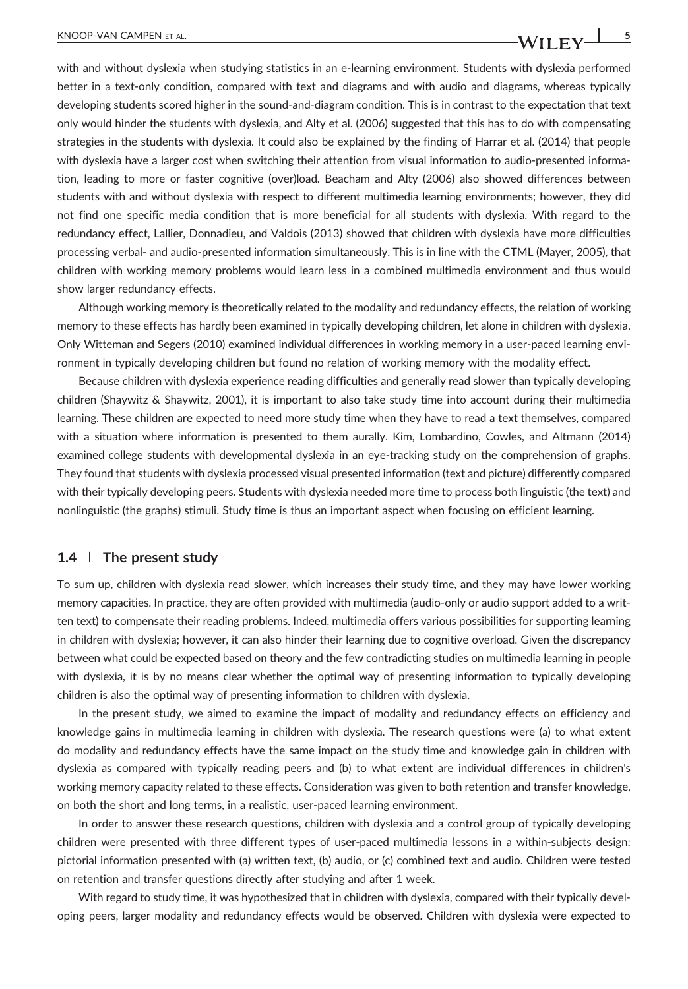with and without dyslexia when studying statistics in an e‐learning environment. Students with dyslexia performed better in a text-only condition, compared with text and diagrams and with audio and diagrams, whereas typically developing students scored higher in the sound‐and‐diagram condition. This is in contrast to the expectation that text only would hinder the students with dyslexia, and Alty et al. (2006) suggested that this has to do with compensating strategies in the students with dyslexia. It could also be explained by the finding of Harrar et al. (2014) that people with dyslexia have a larger cost when switching their attention from visual information to audio‐presented information, leading to more or faster cognitive (over)load. Beacham and Alty (2006) also showed differences between students with and without dyslexia with respect to different multimedia learning environments; however, they did not find one specific media condition that is more beneficial for all students with dyslexia. With regard to the redundancy effect, Lallier, Donnadieu, and Valdois (2013) showed that children with dyslexia have more difficulties processing verbal‐ and audio‐presented information simultaneously. This is in line with the CTML (Mayer, 2005), that children with working memory problems would learn less in a combined multimedia environment and thus would show larger redundancy effects.

Although working memory is theoretically related to the modality and redundancy effects, the relation of working memory to these effects has hardly been examined in typically developing children, let alone in children with dyslexia. Only Witteman and Segers (2010) examined individual differences in working memory in a user‐paced learning environment in typically developing children but found no relation of working memory with the modality effect.

Because children with dyslexia experience reading difficulties and generally read slower than typically developing children (Shaywitz & Shaywitz, 2001), it is important to also take study time into account during their multimedia learning. These children are expected to need more study time when they have to read a text themselves, compared with a situation where information is presented to them aurally. Kim, Lombardino, Cowles, and Altmann (2014) examined college students with developmental dyslexia in an eye‐tracking study on the comprehension of graphs. They found that students with dyslexia processed visual presented information (text and picture) differently compared with their typically developing peers. Students with dyslexia needed more time to process both linguistic (the text) and nonlinguistic (the graphs) stimuli. Study time is thus an important aspect when focusing on efficient learning.

### **1.4** | **The present study**

To sum up, children with dyslexia read slower, which increases their study time, and they may have lower working memory capacities. In practice, they are often provided with multimedia (audio‐only or audio support added to a written text) to compensate their reading problems. Indeed, multimedia offers various possibilities for supporting learning in children with dyslexia; however, it can also hinder their learning due to cognitive overload. Given the discrepancy between what could be expected based on theory and the few contradicting studies on multimedia learning in people with dyslexia, it is by no means clear whether the optimal way of presenting information to typically developing children is also the optimal way of presenting information to children with dyslexia.

In the present study, we aimed to examine the impact of modality and redundancy effects on efficiency and knowledge gains in multimedia learning in children with dyslexia. The research questions were (a) to what extent do modality and redundancy effects have the same impact on the study time and knowledge gain in children with dyslexia as compared with typically reading peers and (b) to what extent are individual differences in children's working memory capacity related to these effects. Consideration was given to both retention and transfer knowledge, on both the short and long terms, in a realistic, user‐paced learning environment.

In order to answer these research questions, children with dyslexia and a control group of typically developing children were presented with three different types of user‐paced multimedia lessons in a within‐subjects design: pictorial information presented with (a) written text, (b) audio, or (c) combined text and audio. Children were tested on retention and transfer questions directly after studying and after 1 week.

With regard to study time, it was hypothesized that in children with dyslexia, compared with their typically developing peers, larger modality and redundancy effects would be observed. Children with dyslexia were expected to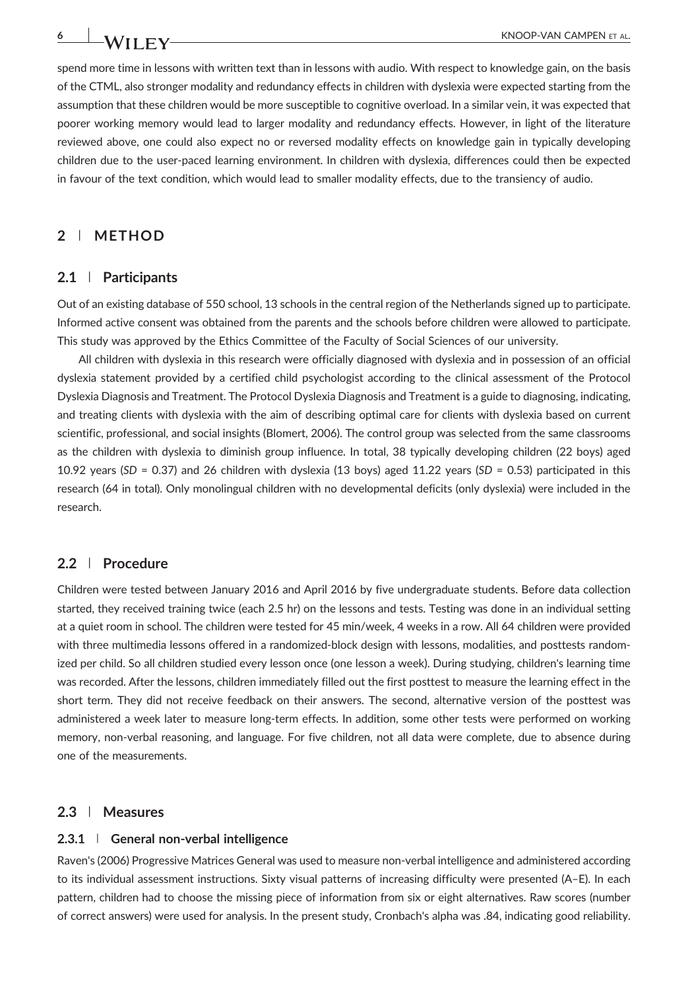spend more time in lessons with written text than in lessons with audio. With respect to knowledge gain, on the basis of the CTML, also stronger modality and redundancy effects in children with dyslexia were expected starting from the assumption that these children would be more susceptible to cognitive overload. In a similar vein, it was expected that poorer working memory would lead to larger modality and redundancy effects. However, in light of the literature reviewed above, one could also expect no or reversed modality effects on knowledge gain in typically developing children due to the user‐paced learning environment. In children with dyslexia, differences could then be expected in favour of the text condition, which would lead to smaller modality effects, due to the transiency of audio.

# **2** | **METHOD**

# **2.1** | **Participants**

Out of an existing database of 550 school, 13 schools in the central region of the Netherlands signed up to participate. Informed active consent was obtained from the parents and the schools before children were allowed to participate. This study was approved by the Ethics Committee of the Faculty of Social Sciences of our university.

All children with dyslexia in this research were officially diagnosed with dyslexia and in possession of an official dyslexia statement provided by a certified child psychologist according to the clinical assessment of the Protocol Dyslexia Diagnosis and Treatment. The Protocol Dyslexia Diagnosis and Treatment is a guide to diagnosing, indicating, and treating clients with dyslexia with the aim of describing optimal care for clients with dyslexia based on current scientific, professional, and social insights (Blomert, 2006). The control group was selected from the same classrooms as the children with dyslexia to diminish group influence. In total, 38 typically developing children (22 boys) aged 10.92 years (*SD* = 0.37) and 26 children with dyslexia (13 boys) aged 11.22 years (*SD* = 0.53) participated in this research (64 in total). Only monolingual children with no developmental deficits (only dyslexia) were included in the research.

# **2.2** | **Procedure**

Children were tested between January 2016 and April 2016 by five undergraduate students. Before data collection started, they received training twice (each 2.5 hr) on the lessons and tests. Testing was done in an individual setting at a quiet room in school. The children were tested for 45 min/week, 4 weeks in a row. All 64 children were provided with three multimedia lessons offered in a randomized-block design with lessons, modalities, and posttests randomized per child. So all children studied every lesson once (one lesson a week). During studying, children's learning time was recorded. After the lessons, children immediately filled out the first posttest to measure the learning effect in the short term. They did not receive feedback on their answers. The second, alternative version of the posttest was administered a week later to measure long‐term effects. In addition, some other tests were performed on working memory, non-verbal reasoning, and language. For five children, not all data were complete, due to absence during one of the measurements.

# **2.3** | **Measures**

#### **2.3.1** | **General non‐verbal intelligence**

Raven's (2006) Progressive Matrices General was used to measure non‐verbal intelligence and administered according to its individual assessment instructions. Sixty visual patterns of increasing difficulty were presented (A–E). In each pattern, children had to choose the missing piece of information from six or eight alternatives. Raw scores (number of correct answers) were used for analysis. In the present study, Cronbach's alpha was .84, indicating good reliability.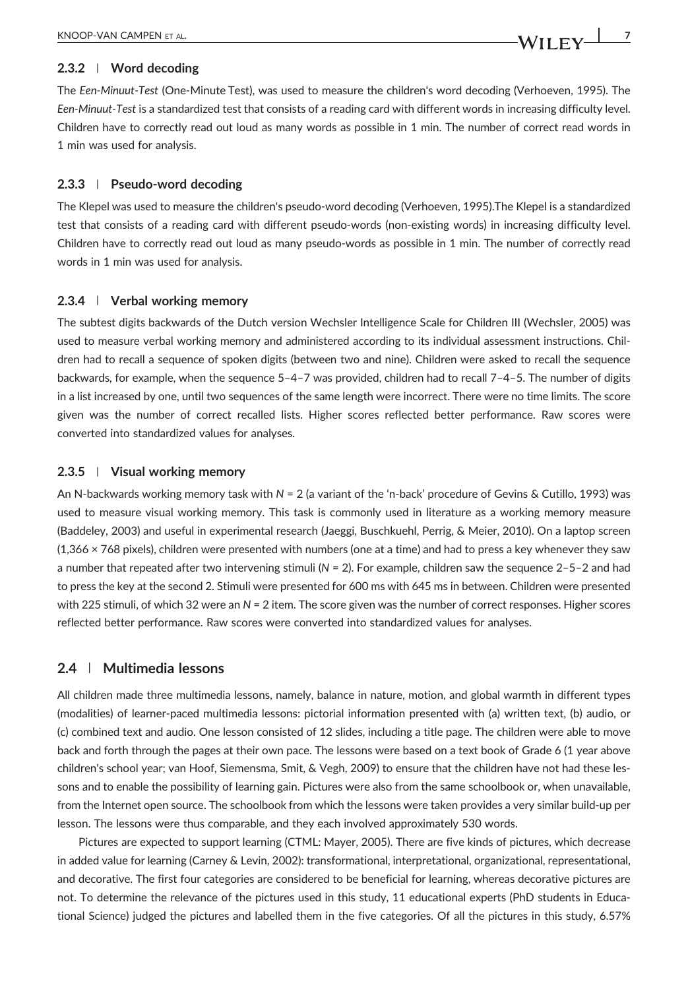### **2.3.2** | **Word decoding**

The *Een‐Minuut‐Test* (One‐Minute Test), was used to measure the children's word decoding (Verhoeven, 1995). The *Een‐Minuut‐Test* is a standardized test that consists of a reading card with different words in increasing difficulty level. Children have to correctly read out loud as many words as possible in 1 min. The number of correct read words in 1 min was used for analysis.

### **2.3.3** | **Pseudo‐word decoding**

The Klepel was used to measure the children's pseudo‐word decoding (Verhoeven, 1995).The Klepel is a standardized test that consists of a reading card with different pseudo-words (non-existing words) in increasing difficulty level. Children have to correctly read out loud as many pseudo‐words as possible in 1 min. The number of correctly read words in 1 min was used for analysis.

# **2.3.4** | **Verbal working memory**

The subtest digits backwards of the Dutch version Wechsler Intelligence Scale for Children III (Wechsler, 2005) was used to measure verbal working memory and administered according to its individual assessment instructions. Children had to recall a sequence of spoken digits (between two and nine). Children were asked to recall the sequence backwards, for example, when the sequence 5–4–7 was provided, children had to recall 7–4–5. The number of digits in a list increased by one, until two sequences of the same length were incorrect. There were no time limits. The score given was the number of correct recalled lists. Higher scores reflected better performance. Raw scores were converted into standardized values for analyses.

#### **2.3.5** | **Visual working memory**

An N‐backwards working memory task with *N* = 2 (a variant of the 'n‐back' procedure of Gevins & Cutillo, 1993) was used to measure visual working memory. This task is commonly used in literature as a working memory measure (Baddeley, 2003) and useful in experimental research (Jaeggi, Buschkuehl, Perrig, & Meier, 2010). On a laptop screen  $(1,366 \times 768)$  pixels), children were presented with numbers (one at a time) and had to press a key whenever they saw a number that repeated after two intervening stimuli (*N* = 2). For example, children saw the sequence 2–5–2 and had to press the key at the second 2. Stimuli were presented for 600 ms with 645 ms in between. Children were presented with 225 stimuli, of which 32 were an *N* = 2 item. The score given was the number of correct responses. Higher scores reflected better performance. Raw scores were converted into standardized values for analyses.

# **2.4** | **Multimedia lessons**

All children made three multimedia lessons, namely, balance in nature, motion, and global warmth in different types (modalities) of learner‐paced multimedia lessons: pictorial information presented with (a) written text, (b) audio, or (c) combined text and audio. One lesson consisted of 12 slides, including a title page. The children were able to move back and forth through the pages at their own pace. The lessons were based on a text book of Grade 6 (1 year above children's school year; van Hoof, Siemensma, Smit, & Vegh, 2009) to ensure that the children have not had these lessons and to enable the possibility of learning gain. Pictures were also from the same schoolbook or, when unavailable, from the Internet open source. The schoolbook from which the lessons were taken provides a very similar build-up per lesson. The lessons were thus comparable, and they each involved approximately 530 words.

Pictures are expected to support learning (CTML: Mayer, 2005). There are five kinds of pictures, which decrease in added value for learning (Carney & Levin, 2002): transformational, interpretational, organizational, representational, and decorative. The first four categories are considered to be beneficial for learning, whereas decorative pictures are not. To determine the relevance of the pictures used in this study, 11 educational experts (PhD students in Educational Science) judged the pictures and labelled them in the five categories. Of all the pictures in this study, 6.57%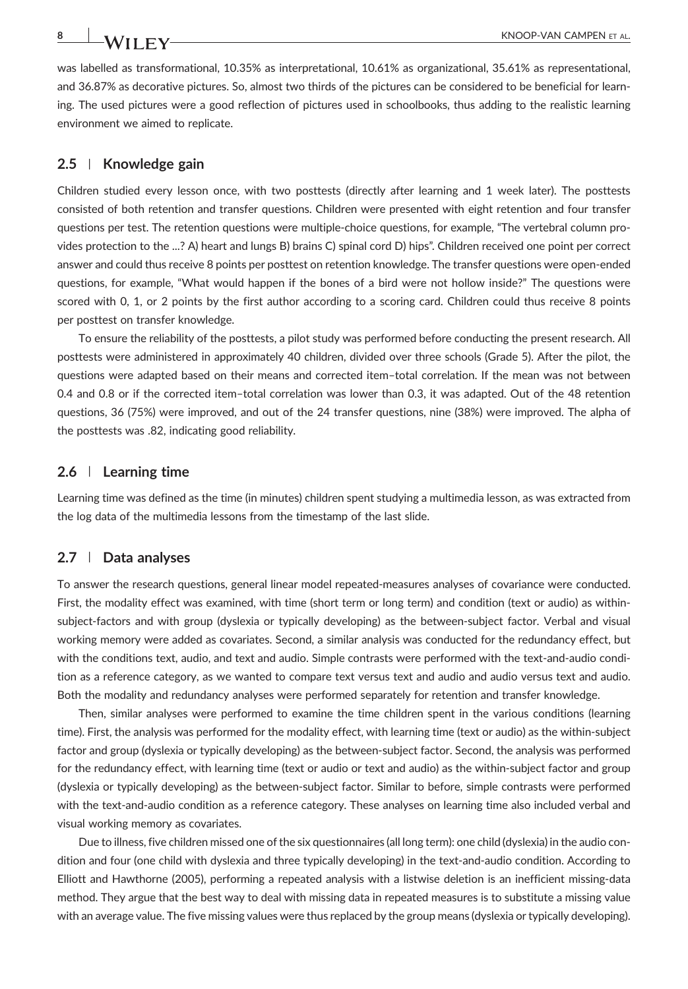was labelled as transformational, 10.35% as interpretational, 10.61% as organizational, 35.61% as representational, and 36.87% as decorative pictures. So, almost two thirds of the pictures can be considered to be beneficial for learning. The used pictures were a good reflection of pictures used in schoolbooks, thus adding to the realistic learning environment we aimed to replicate.

# **2.5** | **Knowledge gain**

Children studied every lesson once, with two posttests (directly after learning and 1 week later). The posttests consisted of both retention and transfer questions. Children were presented with eight retention and four transfer questions per test. The retention questions were multiple‐choice questions, for example, "The vertebral column provides protection to the ...? A) heart and lungs B) brains C) spinal cord D) hips". Children received one point per correct answer and could thus receive 8 points per posttest on retention knowledge. The transfer questions were open‐ended questions, for example, "What would happen if the bones of a bird were not hollow inside?" The questions were scored with 0, 1, or 2 points by the first author according to a scoring card. Children could thus receive 8 points per posttest on transfer knowledge.

To ensure the reliability of the posttests, a pilot study was performed before conducting the present research. All posttests were administered in approximately 40 children, divided over three schools (Grade 5). After the pilot, the questions were adapted based on their means and corrected item–total correlation. If the mean was not between 0.4 and 0.8 or if the corrected item–total correlation was lower than 0.3, it was adapted. Out of the 48 retention questions, 36 (75%) were improved, and out of the 24 transfer questions, nine (38%) were improved. The alpha of the posttests was .82, indicating good reliability.

# **2.6** | **Learning time**

Learning time was defined as the time (in minutes) children spent studying a multimedia lesson, as was extracted from the log data of the multimedia lessons from the timestamp of the last slide.

# **2.7** | **Data analyses**

To answer the research questions, general linear model repeated‐measures analyses of covariance were conducted. First, the modality effect was examined, with time (short term or long term) and condition (text or audio) as within‐ subject-factors and with group (dyslexia or typically developing) as the between-subject factor. Verbal and visual working memory were added as covariates. Second, a similar analysis was conducted for the redundancy effect, but with the conditions text, audio, and text and audio. Simple contrasts were performed with the text-and-audio condition as a reference category, as we wanted to compare text versus text and audio and audio versus text and audio. Both the modality and redundancy analyses were performed separately for retention and transfer knowledge.

Then, similar analyses were performed to examine the time children spent in the various conditions (learning time). First, the analysis was performed for the modality effect, with learning time (text or audio) as the within-subject factor and group (dyslexia or typically developing) as the between-subject factor. Second, the analysis was performed for the redundancy effect, with learning time (text or audio or text and audio) as the within‐subject factor and group (dyslexia or typically developing) as the between‐subject factor. Similar to before, simple contrasts were performed with the text-and-audio condition as a reference category. These analyses on learning time also included verbal and visual working memory as covariates.

Due to illness, five children missed one of the six questionnaires (all long term): one child (dyslexia) in the audio condition and four (one child with dyslexia and three typically developing) in the text‐and‐audio condition. According to Elliott and Hawthorne (2005), performing a repeated analysis with a listwise deletion is an inefficient missing‐data method. They argue that the best way to deal with missing data in repeated measures is to substitute a missing value with an average value. The five missing values were thus replaced by the group means (dyslexia or typically developing).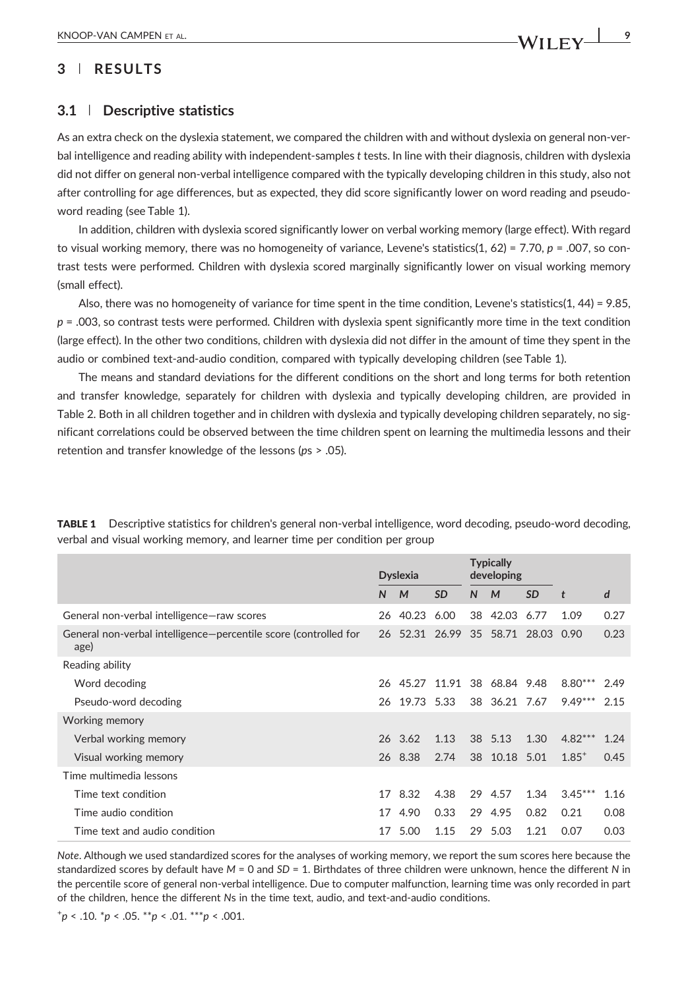# **3** | **RESULTS**

# **3.1** | **Descriptive statistics**

As an extra check on the dyslexia statement, we compared the children with and without dyslexia on general non‐verbal intelligence and reading ability with independent‐samples *t* tests. In line with their diagnosis, children with dyslexia did not differ on general non‐verbal intelligence compared with the typically developing children in this study, also not after controlling for age differences, but as expected, they did score significantly lower on word reading and pseudoword reading (see Table 1).

In addition, children with dyslexia scored significantly lower on verbal working memory (large effect). With regard to visual working memory, there was no homogeneity of variance, Levene's statistics(1, 62) = 7.70, *p* = .007, so contrast tests were performed. Children with dyslexia scored marginally significantly lower on visual working memory (small effect).

Also, there was no homogeneity of variance for time spent in the time condition, Levene's statistics(1, 44) = 9.85, *p* = .003, so contrast tests were performed. Children with dyslexia spent significantly more time in the text condition (large effect). In the other two conditions, children with dyslexia did not differ in the amount of time they spent in the audio or combined text-and-audio condition, compared with typically developing children (see Table 1).

The means and standard deviations for the different conditions on the short and long terms for both retention and transfer knowledge, separately for children with dyslexia and typically developing children, are provided in Table 2. Both in all children together and in children with dyslexia and typically developing children separately, no significant correlations could be observed between the time children spent on learning the multimedia lessons and their retention and transfer knowledge of the lessons (*p*s > .05).

|                                                                          |              | <b>Dyslexia</b> |                                 | <b>Typically</b><br>developing |               |           |              |      |
|--------------------------------------------------------------------------|--------------|-----------------|---------------------------------|--------------------------------|---------------|-----------|--------------|------|
|                                                                          | $\mathsf{N}$ | M               | <b>SD</b>                       | $\mathsf{N}$                   | M             | <b>SD</b> | t            | d    |
| General non-verbal intelligence-raw scores                               | 26           | 40.23 6.00      |                                 | 38                             | 42.03 6.77    |           | 1.09         | 0.27 |
| General non-verbal intelligence-percentile score (controlled for<br>age) | 26           |                 | 52.31 26.99 35 58.71 28.03 0.90 |                                |               |           |              | 0.23 |
| Reading ability                                                          |              |                 |                                 |                                |               |           |              |      |
| Word decoding                                                            | 26           |                 | 45.27 11.91 38 68.84 9.48       |                                |               |           | 8.80*** 2.49 |      |
| Pseudo-word decoding                                                     | 26           | 19.73 5.33      |                                 |                                | 38 36.21 7.67 |           | $9.49***$    | 2.15 |
| Working memory                                                           |              |                 |                                 |                                |               |           |              |      |
| Verbal working memory                                                    |              | 26 3.62         | 1.13                            |                                | 38 5.13       | 1.30      | $4.82***$    | 1.24 |
| Visual working memory                                                    |              | 26 8.38         | 2.74                            |                                | 38 10.18 5.01 |           | $1.85^{+}$   | 0.45 |
| Time multimedia lessons                                                  |              |                 |                                 |                                |               |           |              |      |
| Time text condition                                                      | 17           | 8.32            | 4.38                            | 29                             | 4.57          | 1.34      | $3.45***$    | 1.16 |
| Time audio condition                                                     | 17           | 4.90            | 0.33                            | 29                             | 4.95          | 0.82      | 0.21         | 0.08 |
| Time text and audio condition                                            | 17           | 5.00            | 1.15                            |                                | 29 5.03       | 1.21      | 0.07         | 0.03 |

TABLE 1 Descriptive statistics for children's general non-verbal intelligence, word decoding, pseudo-word decoding, verbal and visual working memory, and learner time per condition per group

*Note*. Although we used standardized scores for the analyses of working memory, we report the sum scores here because the standardized scores by default have *M* = 0 and *SD* = 1. Birthdates of three children were unknown, hence the different *N* in the percentile score of general non‐verbal intelligence. Due to computer malfunction, learning time was only recorded in part of the children, hence the different *Ns* in the time text, audio, and text-and-audio conditions.

 $^{+}p$  < .10.  $^{*}p$  < .05.  $^{**}p$  < .01.  $^{***}p$  < .001.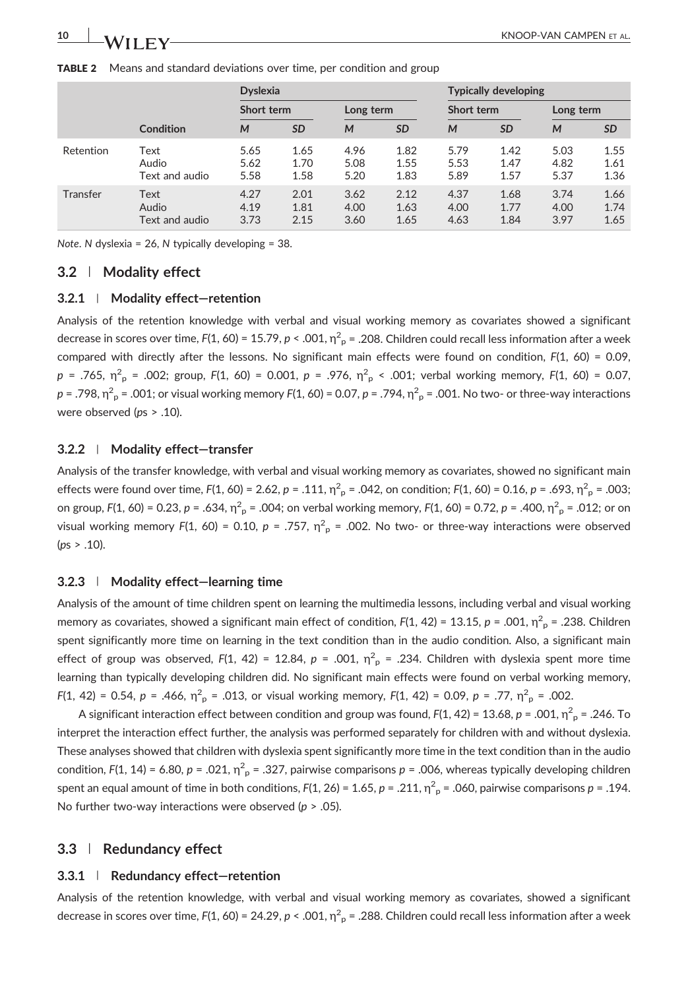|           |                                 |                      | <b>Dyslexia</b>      |                      |                      |                      | <b>Typically developing</b> |                      |                      |  |  |
|-----------|---------------------------------|----------------------|----------------------|----------------------|----------------------|----------------------|-----------------------------|----------------------|----------------------|--|--|
|           |                                 | Short term           |                      | Long term            |                      | Short term           |                             | Long term            |                      |  |  |
|           | Condition                       | M                    | <b>SD</b>            | M                    | <b>SD</b>            | M                    | <b>SD</b>                   | M                    | <b>SD</b>            |  |  |
| Retention | Text<br>Audio<br>Text and audio | 5.65<br>5.62<br>5.58 | 1.65<br>1.70<br>1.58 | 4.96<br>5.08<br>5.20 | 1.82<br>1.55<br>1.83 | 5.79<br>5.53<br>5.89 | 1.42<br>1.47<br>1.57        | 5.03<br>4.82<br>5.37 | 1.55<br>1.61<br>1.36 |  |  |
| Transfer  | Text<br>Audio<br>Text and audio | 4.27<br>4.19<br>3.73 | 2.01<br>1.81<br>2.15 | 3.62<br>4.00<br>3.60 | 2.12<br>1.63<br>1.65 | 4.37<br>4.00<br>4.63 | 1.68<br>1.77<br>1.84        | 3.74<br>4.00<br>3.97 | 1.66<br>1.74<br>1.65 |  |  |

**TABLE 2** Means and standard deviations over time, per condition and group

*Note*. *N* dyslexia = 26, *N* typically developing = 38.

# **3.2** | **Modality effect**

#### **3.2.1** | **Modality effect—retention**

Analysis of the retention knowledge with verbal and visual working memory as covariates showed a significant decrease in scores over time, *F*(1, 60) = 15.79, *p* < .001, η<sup>2</sup><sub>p</sub> = .208. Children could recall less information after a week compared with directly after the lessons. No significant main effects were found on condition, *F*(1, 60) = 0.09, *p* = .765, η<sup>2</sup> <sup>p</sup> = .002; group, *F*(1, 60) = 0.001, *p* = .976, η<sup>2</sup> <sup>p</sup> < .001; verbal working memory, *F*(1, 60) = 0.07, *p* = .798,  $\eta^2$ <sub>p</sub> = .001; or visual working memory *F*(1, 60) = 0.07, *p* = .794,  $\eta^2$ <sub>p</sub> = .001. No two- or three-way interactions were observed (*p*s > .10).

# **3.2.2** | **Modality effect—transfer**

Analysis of the transfer knowledge, with verbal and visual working memory as covariates, showed no significant main effects were found over time, *F*(1, 60) = 2.62, *p* = .111, η<sup>2</sup><sub>ρ</sub> = .042, on condition; *F*(1, 60) = 0.16, *p* = .693, η<sup>2</sup><sub>ρ</sub> = .003; on group, *F*(1, 60) = 0.23, *p* = .634,  $\eta^2$ <sub>p</sub> = .004; on verbal working memory, *F*(1, 60) = 0.72, *p* = .400,  $\eta^2$ <sub>p</sub> = .012; or on visual working memory  $F(1, 60) = 0.10, p = .757, \eta^2$  = .002. No two- or three-way interactions were observed (*p*s > .10).

# **3.2.3** | **Modality effect—learning time**

Analysis of the amount of time children spent on learning the multimedia lessons, including verbal and visual working memory as covariates, showed a significant main effect of condition, *F*(1, 42) = 13.15, *p* = .001, η<sup>2</sup><sub>ρ</sub> = .238. Children spent significantly more time on learning in the text condition than in the audio condition. Also, a significant main effect of group was observed,  $F(1, 42) = 12.84$ ,  $p = .001$ ,  $\eta^2$ <sub>p</sub> = .234. Children with dyslexia spent more time learning than typically developing children did. No significant main effects were found on verbal working memory, *F*(1, 42) = 0.54, *p* = .466,  $\eta^2$ <sub>*p*</sub> = .013, or visual working memory, *F*(1, 42) = 0.09, *p* = .77,  $\eta^2$ <sub>*p*</sub> = .002.

A significant interaction effect between condition and group was found,  $F(1, 42)$  = 13.68,  $p$  = .001,  $\eta^2$  <sub>p</sub> = .246. To interpret the interaction effect further, the analysis was performed separately for children with and without dyslexia. These analyses showed that children with dyslexia spent significantly more time in the text condition than in the audio condition, F(1, 14) = 6.80, *p* = .021,  $\eta^2$ <sub>p</sub> = .327, pairwise comparisons *p* = .006, whereas typically developing children spent an equal amount of time in both conditions, *F*(1, 26) = 1.65, *p* = .211,  $\eta^2$ <sub>P</sub> = .060, pairwise comparisons *p* = .194. No further two‐way interactions were observed (*p* > .05).

# **3.3** | **Redundancy effect**

#### **3.3.1** | **Redundancy effect—retention**

Analysis of the retention knowledge, with verbal and visual working memory as covariates, showed a significant decrease in scores over time, *F*(1, 60) = 24.29, *p* < .001, η<sup>2</sup><sub>p</sub> = .288. Children could recall less information after a week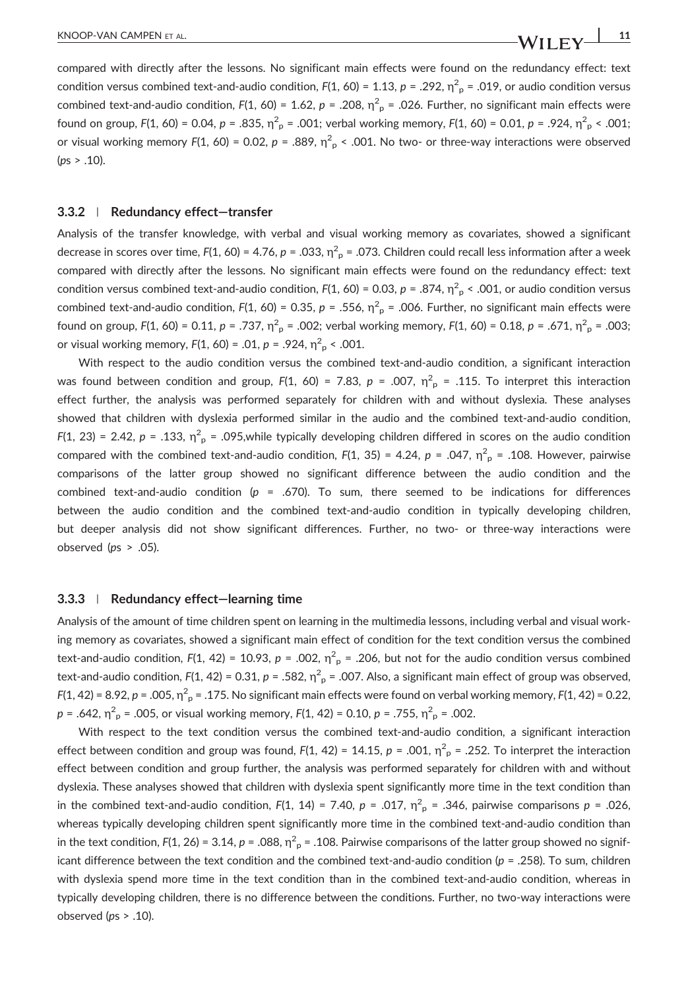# compared with directly after the lessons. No significant main effects were found on the redundancy effect: text condition versus combined text‐and‐audio condition, *F*(1, 60) = 1.13, *p* = .292, η<sup>2</sup> <sup>p</sup> = .019, or audio condition versus combined text-and-audio condition,  $F(1, 60) = 1.62$ ,  $p = .208$ ,  $\eta^2$ <sub>p</sub> = .026. Further, no significant main effects were found on group,  $F(1, 60) = 0.04$ ,  $p = .835$ ,  $\eta^2$ <sub>p</sub> = .001; verbal working memory,  $F(1, 60) = 0.01$ ,  $p = .924$ ,  $\eta^2$ <sub>p</sub> < .001; or visual working memory  $F(1, 60) = 0.02$ ,  $p = .889$ ,  $\eta^2$ <sub>p</sub> < .001. No two- or three-way interactions were observed (*p*s > .10).

#### **3.3.2** | **Redundancy effect—transfer**

Analysis of the transfer knowledge, with verbal and visual working memory as covariates, showed a significant decrease in scores over time, *F*(1, 60) = 4.76, *p* = .033,  $\eta^2$  <sub>p</sub> = .073. Children could recall less information after a week compared with directly after the lessons. No significant main effects were found on the redundancy effect: text condition versus combined text-and-audio condition,  $F(1, 60)$  = 0.03,  $p$  = .874,  $\eta^2$ <sub>p</sub> < .001, or audio condition versus combined text-and-audio condition,  $F(1, 60) = 0.35$ ,  $p = .556$ ,  $\eta^2$ <sub>p</sub> = .006. Further, no significant main effects were found on group,  $F(1, 60) = 0.11$ ,  $p = .737$ ,  $\eta^2$ <sub>p</sub> = .002; verbal working memory,  $F(1, 60) = 0.18$ ,  $p = .671$ ,  $\eta^2$ <sub>p</sub> = .003; or visual working memory,  $F(1, 60) = .01$ ,  $p = .924$ ,  $\eta^2$ <sub>p</sub> < .001.

With respect to the audio condition versus the combined text-and-audio condition, a significant interaction was found between condition and group,  $F(1, 60) = 7.83$ ,  $p = .007$ ,  $\eta_{p}^{2} = .115$ . To interpret this interaction effect further, the analysis was performed separately for children with and without dyslexia. These analyses showed that children with dyslexia performed similar in the audio and the combined text-and-audio condition, *F*(1, 23) = 2.42, *p* = .133,  $\eta^2$ <sub>*p*</sub> = .095, while typically developing children differed in scores on the audio condition compared with the combined text-and-audio condition,  $F(1, 35)$  = 4.24,  $p$  = .047,  $\eta^2$ <sub>p</sub> = .108. However, pairwise comparisons of the latter group showed no significant difference between the audio condition and the combined text-and-audio condition ( $p = .670$ ). To sum, there seemed to be indications for differences between the audio condition and the combined text-and-audio condition in typically developing children, but deeper analysis did not show significant differences. Further, no two- or three-way interactions were observed (*p*s > .05).

#### **3.3.3** | **Redundancy effect—learning time**

Analysis of the amount of time children spent on learning in the multimedia lessons, including verbal and visual working memory as covariates, showed a significant main effect of condition for the text condition versus the combined text-and-audio condition,  $F(1, 42) = 10.93$ ,  $p = .002$ ,  $\eta^2$ <sub>p</sub> = .206, but not for the audio condition versus combined text-and-audio condition, *F*(1, 42) = 0.31, *p* = .582,  $\eta^2$ <sub>p</sub> = .007. Also, a significant main effect of group was observed, *F*(1, 42) = 8.92, *p* = .005,  $\eta^2$ <sub>*p*</sub> = .175. No significant main effects were found on verbal working memory, *F*(1, 42) = 0.22, *p* = .642, η<sup>2</sup><sub>p</sub> = .005, or visual working memory, *F*(1, 42) = 0.10, *p* = .755, η<sup>2</sup><sub>p</sub> = .002.

With respect to the text condition versus the combined text-and-audio condition, a significant interaction effect between condition and group was found,  $F(1, 42) = 14.15$ ,  $p = .001$ ,  $\eta_{p}^{2} = .252$ . To interpret the interaction effect between condition and group further, the analysis was performed separately for children with and without dyslexia. These analyses showed that children with dyslexia spent significantly more time in the text condition than in the combined text-and-audio condition,  $F(1, 14) = 7.40$ ,  $p = .017$ ,  $\eta_{p}^{2} = .346$ , pairwise comparisons  $p = .026$ , whereas typically developing children spent significantly more time in the combined text-and-audio condition than in the text condition,  $F(1, 26) = 3.14$ ,  $p = .088$ ,  $\eta^2 \pi p = .108$ . Pairwise comparisons of the latter group showed no significant difference between the text condition and the combined text‐and‐audio condition (*p* = .258). To sum, children with dyslexia spend more time in the text condition than in the combined text-and-audio condition, whereas in typically developing children, there is no difference between the conditions. Further, no two-way interactions were observed (*p*s > .10).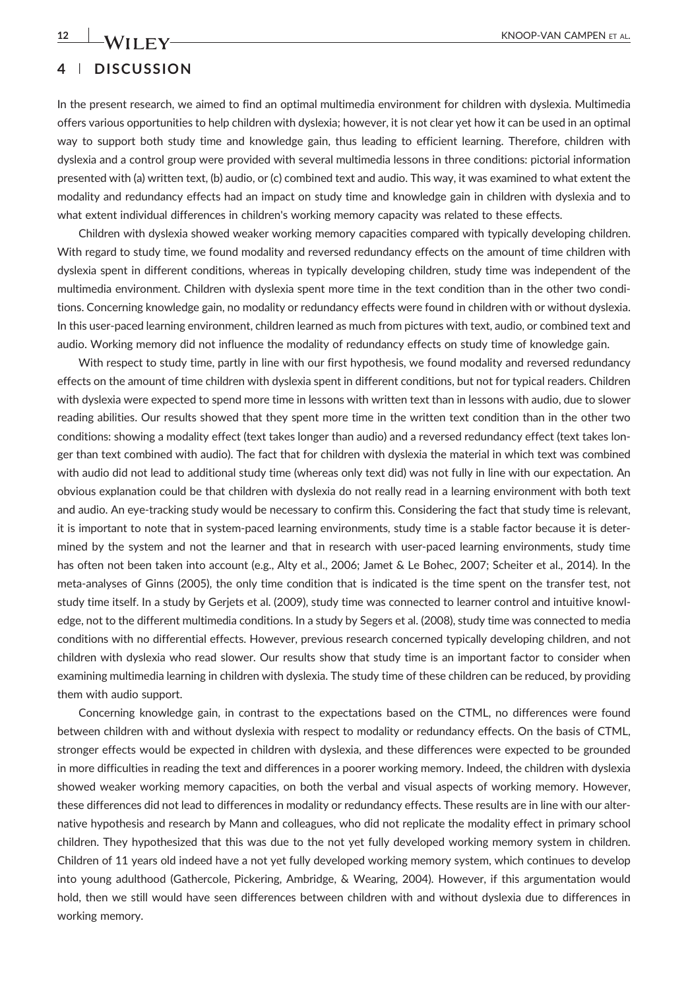# **4** | **DISCUSSION**

In the present research, we aimed to find an optimal multimedia environment for children with dyslexia. Multimedia offers various opportunities to help children with dyslexia; however, it is not clear yet how it can be used in an optimal way to support both study time and knowledge gain, thus leading to efficient learning. Therefore, children with dyslexia and a control group were provided with several multimedia lessons in three conditions: pictorial information presented with (a) written text, (b) audio, or (c) combined text and audio. This way, it was examined to what extent the modality and redundancy effects had an impact on study time and knowledge gain in children with dyslexia and to what extent individual differences in children's working memory capacity was related to these effects.

Children with dyslexia showed weaker working memory capacities compared with typically developing children. With regard to study time, we found modality and reversed redundancy effects on the amount of time children with dyslexia spent in different conditions, whereas in typically developing children, study time was independent of the multimedia environment. Children with dyslexia spent more time in the text condition than in the other two conditions. Concerning knowledge gain, no modality or redundancy effects were found in children with or without dyslexia. In this user-paced learning environment, children learned as much from pictures with text, audio, or combined text and audio. Working memory did not influence the modality of redundancy effects on study time of knowledge gain.

With respect to study time, partly in line with our first hypothesis, we found modality and reversed redundancy effects on the amount of time children with dyslexia spent in different conditions, but not for typical readers. Children with dyslexia were expected to spend more time in lessons with written text than in lessons with audio, due to slower reading abilities. Our results showed that they spent more time in the written text condition than in the other two conditions: showing a modality effect (text takes longer than audio) and a reversed redundancy effect (text takes longer than text combined with audio). The fact that for children with dyslexia the material in which text was combined with audio did not lead to additional study time (whereas only text did) was not fully in line with our expectation. An obvious explanation could be that children with dyslexia do not really read in a learning environment with both text and audio. An eye‐tracking study would be necessary to confirm this. Considering the fact that study time is relevant, it is important to note that in system‐paced learning environments, study time is a stable factor because it is determined by the system and not the learner and that in research with user‐paced learning environments, study time has often not been taken into account (e.g., Alty et al., 2006; Jamet & Le Bohec, 2007; Scheiter et al., 2014). In the meta-analyses of Ginns (2005), the only time condition that is indicated is the time spent on the transfer test, not study time itself. In a study by Gerjets et al. (2009), study time was connected to learner control and intuitive knowledge, not to the different multimedia conditions. In a study by Segers et al. (2008), study time was connected to media conditions with no differential effects. However, previous research concerned typically developing children, and not children with dyslexia who read slower. Our results show that study time is an important factor to consider when examining multimedia learning in children with dyslexia. The study time of these children can be reduced, by providing them with audio support.

Concerning knowledge gain, in contrast to the expectations based on the CTML, no differences were found between children with and without dyslexia with respect to modality or redundancy effects. On the basis of CTML, stronger effects would be expected in children with dyslexia, and these differences were expected to be grounded in more difficulties in reading the text and differences in a poorer working memory. Indeed, the children with dyslexia showed weaker working memory capacities, on both the verbal and visual aspects of working memory. However, these differences did not lead to differences in modality or redundancy effects. These results are in line with our alternative hypothesis and research by Mann and colleagues, who did not replicate the modality effect in primary school children. They hypothesized that this was due to the not yet fully developed working memory system in children. Children of 11 years old indeed have a not yet fully developed working memory system, which continues to develop into young adulthood (Gathercole, Pickering, Ambridge, & Wearing, 2004). However, if this argumentation would hold, then we still would have seen differences between children with and without dyslexia due to differences in working memory.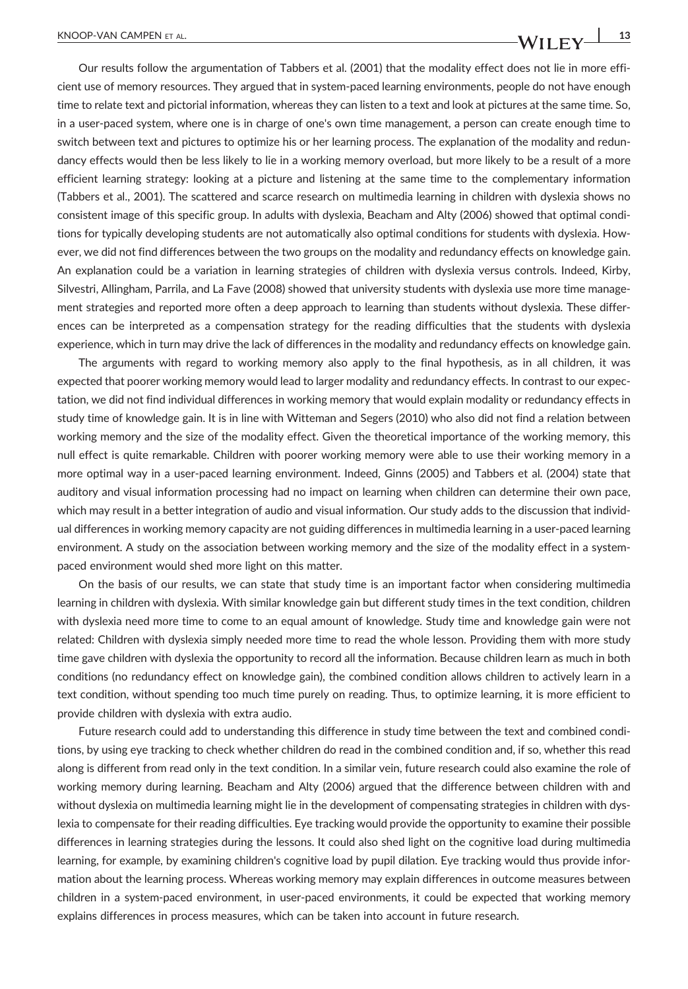Our results follow the argumentation of Tabbers et al. (2001) that the modality effect does not lie in more efficient use of memory resources. They argued that in system‐paced learning environments, people do not have enough time to relate text and pictorial information, whereas they can listen to a text and look at pictures at the same time. So, in a user‐paced system, where one is in charge of one's own time management, a person can create enough time to switch between text and pictures to optimize his or her learning process. The explanation of the modality and redundancy effects would then be less likely to lie in a working memory overload, but more likely to be a result of a more efficient learning strategy: looking at a picture and listening at the same time to the complementary information (Tabbers et al., 2001). The scattered and scarce research on multimedia learning in children with dyslexia shows no consistent image of this specific group. In adults with dyslexia, Beacham and Alty (2006) showed that optimal conditions for typically developing students are not automatically also optimal conditions for students with dyslexia. However, we did not find differences between the two groups on the modality and redundancy effects on knowledge gain. An explanation could be a variation in learning strategies of children with dyslexia versus controls. Indeed, Kirby, Silvestri, Allingham, Parrila, and La Fave (2008) showed that university students with dyslexia use more time management strategies and reported more often a deep approach to learning than students without dyslexia. These differences can be interpreted as a compensation strategy for the reading difficulties that the students with dyslexia experience, which in turn may drive the lack of differences in the modality and redundancy effects on knowledge gain.

The arguments with regard to working memory also apply to the final hypothesis, as in all children, it was expected that poorer working memory would lead to larger modality and redundancy effects. In contrast to our expectation, we did not find individual differences in working memory that would explain modality or redundancy effects in study time of knowledge gain. It is in line with Witteman and Segers (2010) who also did not find a relation between working memory and the size of the modality effect. Given the theoretical importance of the working memory, this null effect is quite remarkable. Children with poorer working memory were able to use their working memory in a more optimal way in a user‐paced learning environment. Indeed, Ginns (2005) and Tabbers et al. (2004) state that auditory and visual information processing had no impact on learning when children can determine their own pace, which may result in a better integration of audio and visual information. Our study adds to the discussion that individual differences in working memory capacity are not guiding differences in multimedia learning in a user-paced learning environment. A study on the association between working memory and the size of the modality effect in a systempaced environment would shed more light on this matter.

On the basis of our results, we can state that study time is an important factor when considering multimedia learning in children with dyslexia. With similar knowledge gain but different study times in the text condition, children with dyslexia need more time to come to an equal amount of knowledge. Study time and knowledge gain were not related: Children with dyslexia simply needed more time to read the whole lesson. Providing them with more study time gave children with dyslexia the opportunity to record all the information. Because children learn as much in both conditions (no redundancy effect on knowledge gain), the combined condition allows children to actively learn in a text condition, without spending too much time purely on reading. Thus, to optimize learning, it is more efficient to provide children with dyslexia with extra audio.

Future research could add to understanding this difference in study time between the text and combined conditions, by using eye tracking to check whether children do read in the combined condition and, if so, whether this read along is different from read only in the text condition. In a similar vein, future research could also examine the role of working memory during learning. Beacham and Alty (2006) argued that the difference between children with and without dyslexia on multimedia learning might lie in the development of compensating strategies in children with dyslexia to compensate for their reading difficulties. Eye tracking would provide the opportunity to examine their possible differences in learning strategies during the lessons. It could also shed light on the cognitive load during multimedia learning, for example, by examining children's cognitive load by pupil dilation. Eye tracking would thus provide information about the learning process. Whereas working memory may explain differences in outcome measures between children in a system‐paced environment, in user‐paced environments, it could be expected that working memory explains differences in process measures, which can be taken into account in future research.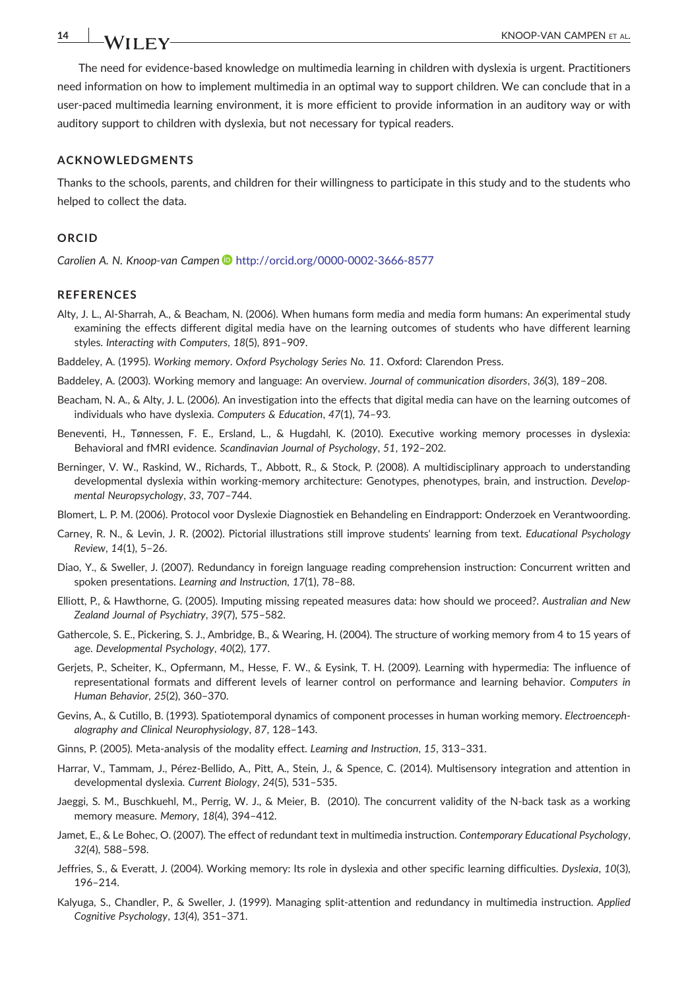The need for evidence‐based knowledge on multimedia learning in children with dyslexia is urgent. Practitioners need information on how to implement multimedia in an optimal way to support children. We can conclude that in a user‐paced multimedia learning environment, it is more efficient to provide information in an auditory way or with auditory support to children with dyslexia, but not necessary for typical readers.

# **ACKNOWLEDGMENTS**

Thanks to the schools, parents, and children for their willingness to participate in this study and to the students who helped to collect the data.

#### **ORCID**

*Carolien A. N. Knoop‐van Campen* <http://orcid.org/0000-0002-3666-8577>

#### **REFERENCES**

- Alty, J. L., Al‐Sharrah, A., & Beacham, N. (2006). When humans form media and media form humans: An experimental study examining the effects different digital media have on the learning outcomes of students who have different learning styles. *Interacting with Computers*, *18*(5), 891–909.
- Baddeley, A. (1995). *Working memory*. *Oxford Psychology Series No. 11*. Oxford: Clarendon Press.
- Baddeley, A. (2003). Working memory and language: An overview. *Journal of communication disorders*, *36*(3), 189–208.
- Beacham, N. A., & Alty, J. L. (2006). An investigation into the effects that digital media can have on the learning outcomes of individuals who have dyslexia. *Computers & Education*, *47*(1), 74–93.
- Beneventi, H., Tønnessen, F. E., Ersland, L., & Hugdahl, K. (2010). Executive working memory processes in dyslexia: Behavioral and fMRI evidence. *Scandinavian Journal of Psychology*, *51*, 192–202.
- Berninger, V. W., Raskind, W., Richards, T., Abbott, R., & Stock, P. (2008). A multidisciplinary approach to understanding developmental dyslexia within working‐memory architecture: Genotypes, phenotypes, brain, and instruction. *Developmental Neuropsychology*, *33*, 707–744.
- Blomert, L. P. M. (2006). Protocol voor Dyslexie Diagnostiek en Behandeling en Eindrapport: Onderzoek en Verantwoording.
- Carney, R. N., & Levin, J. R. (2002). Pictorial illustrations still improve students' learning from text. *Educational Psychology Review*, *14*(1), 5–26.
- Diao, Y., & Sweller, J. (2007). Redundancy in foreign language reading comprehension instruction: Concurrent written and spoken presentations. *Learning and Instruction*, *17*(1), 78–88.
- Elliott, P., & Hawthorne, G. (2005). Imputing missing repeated measures data: how should we proceed?. *Australian and New Zealand Journal of Psychiatry*, *39*(7), 575–582.
- Gathercole, S. E., Pickering, S. J., Ambridge, B., & Wearing, H. (2004). The structure of working memory from 4 to 15 years of age. *Developmental Psychology*, *40*(2), 177.
- Gerjets, P., Scheiter, K., Opfermann, M., Hesse, F. W., & Eysink, T. H. (2009). Learning with hypermedia: The influence of representational formats and different levels of learner control on performance and learning behavior. *Computers in Human Behavior*, *25*(2), 360–370.
- Gevins, A., & Cutillo, B. (1993). Spatiotemporal dynamics of component processes in human working memory. *Electroencephalography and Clinical Neurophysiology*, *87*, 128–143.
- Ginns, P. (2005). Meta‐analysis of the modality effect. *Learning and Instruction*, *15*, 313–331.
- Harrar, V., Tammam, J., Pérez‐Bellido, A., Pitt, A., Stein, J., & Spence, C. (2014). Multisensory integration and attention in developmental dyslexia. *Current Biology*, *24*(5), 531–535.
- Jaeggi, S. M., Buschkuehl, M., Perrig, W. J., & Meier, B. (2010). The concurrent validity of the N‐back task as a working memory measure. *Memory*, *18*(4), 394–412.
- Jamet, E., & Le Bohec, O. (2007). The effect of redundant text in multimedia instruction. *Contemporary Educational Psychology*, *32*(4), 588–598.
- Jeffries, S., & Everatt, J. (2004). Working memory: Its role in dyslexia and other specific learning difficulties. *Dyslexia*, *10*(3), 196–214.
- Kalyuga, S., Chandler, P., & Sweller, J. (1999). Managing split‐attention and redundancy in multimedia instruction. *Applied Cognitive Psychology*, *13*(4), 351–371.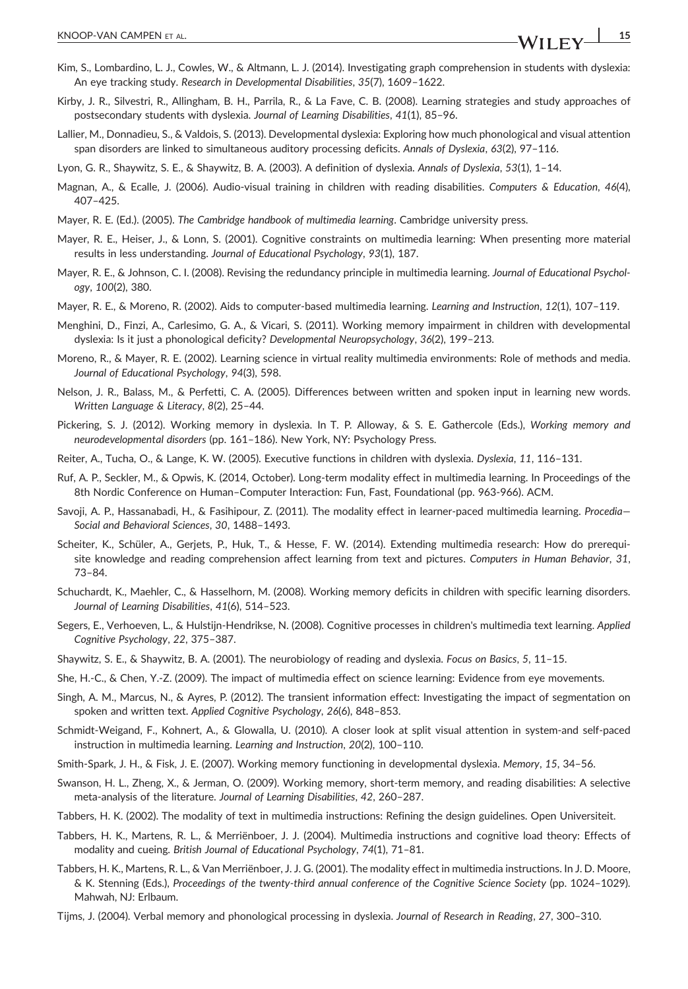- Kim, S., Lombardino, L. J., Cowles, W., & Altmann, L. J. (2014). Investigating graph comprehension in students with dyslexia: An eye tracking study. *Research in Developmental Disabilities*, *35*(7), 1609–1622.
- Kirby, J. R., Silvestri, R., Allingham, B. H., Parrila, R., & La Fave, C. B. (2008). Learning strategies and study approaches of postsecondary students with dyslexia. *Journal of Learning Disabilities*, *41*(1), 85–96.
- Lallier, M., Donnadieu, S., & Valdois, S. (2013). Developmental dyslexia: Exploring how much phonological and visual attention span disorders are linked to simultaneous auditory processing deficits. *Annals of Dyslexia*, *63*(2), 97–116.
- Lyon, G. R., Shaywitz, S. E., & Shaywitz, B. A. (2003). A definition of dyslexia. *Annals of Dyslexia*, *53*(1), 1–14.
- Magnan, A., & Ecalle, J. (2006). Audio‐visual training in children with reading disabilities. *Computers & Education*, *46*(4), 407–425.
- Mayer, R. E. (Ed.). (2005). *The Cambridge handbook of multimedia learning*. Cambridge university press.
- Mayer, R. E., Heiser, J., & Lonn, S. (2001). Cognitive constraints on multimedia learning: When presenting more material results in less understanding. *Journal of Educational Psychology*, *93*(1), 187.
- Mayer, R. E., & Johnson, C. I. (2008). Revising the redundancy principle in multimedia learning. *Journal of Educational Psychology*, *100*(2), 380.
- Mayer, R. E., & Moreno, R. (2002). Aids to computer‐based multimedia learning. *Learning and Instruction*, *12*(1), 107–119.
- Menghini, D., Finzi, A., Carlesimo, G. A., & Vicari, S. (2011). Working memory impairment in children with developmental dyslexia: Is it just a phonological deficity? *Developmental Neuropsychology*, *36*(2), 199–213.
- Moreno, R., & Mayer, R. E. (2002). Learning science in virtual reality multimedia environments: Role of methods and media. *Journal of Educational Psychology*, *94*(3), 598.
- Nelson, J. R., Balass, M., & Perfetti, C. A. (2005). Differences between written and spoken input in learning new words. *Written Language & Literacy*, *8*(2), 25–44.
- Pickering, S. J. (2012). Working memory in dyslexia. In T. P. Alloway, & S. E. Gathercole (Eds.), *Working memory and neurodevelopmental disorders* (pp. 161–186). New York, NY: Psychology Press.
- Reiter, A., Tucha, O., & Lange, K. W. (2005). Executive functions in children with dyslexia. *Dyslexia*, *11*, 116–131.
- Ruf, A. P., Seckler, M., & Opwis, K. (2014, October). Long‐term modality effect in multimedia learning. In Proceedings of the 8th Nordic Conference on Human–Computer Interaction: Fun, Fast, Foundational (pp. 963‐966). ACM.
- Savoji, A. P., Hassanabadi, H., & Fasihipour, Z. (2011). The modality effect in learner‐paced multimedia learning. *Procedia— Social and Behavioral Sciences*, *30*, 1488–1493.
- Scheiter, K., Schüler, A., Gerjets, P., Huk, T., & Hesse, F. W. (2014). Extending multimedia research: How do prerequisite knowledge and reading comprehension affect learning from text and pictures. *Computers in Human Behavior*, *31*, 73–84.
- Schuchardt, K., Maehler, C., & Hasselhorn, M. (2008). Working memory deficits in children with specific learning disorders. *Journal of Learning Disabilities*, *41*(6), 514–523.
- Segers, E., Verhoeven, L., & Hulstijn‐Hendrikse, N. (2008). Cognitive processes in children's multimedia text learning. *Applied Cognitive Psychology*, *22*, 375–387.
- Shaywitz, S. E., & Shaywitz, B. A. (2001). The neurobiology of reading and dyslexia. *Focus on Basics*, *5*, 11–15.
- She, H.‐C., & Chen, Y.‐Z. (2009). The impact of multimedia effect on science learning: Evidence from eye movements.
- Singh, A. M., Marcus, N., & Ayres, P. (2012). The transient information effect: Investigating the impact of segmentation on spoken and written text. *Applied Cognitive Psychology*, *26*(6), 848–853.
- Schmidt‐Weigand, F., Kohnert, A., & Glowalla, U. (2010). A closer look at split visual attention in system‐and self‐paced instruction in multimedia learning. *Learning and Instruction*, *20*(2), 100–110.
- Smith‐Spark, J. H., & Fisk, J. E. (2007). Working memory functioning in developmental dyslexia. *Memory*, *15*, 34–56.
- Swanson, H. L., Zheng, X., & Jerman, O. (2009). Working memory, short‐term memory, and reading disabilities: A selective meta‐analysis of the literature. *Journal of Learning Disabilities*, *42*, 260–287.
- Tabbers, H. K. (2002). The modality of text in multimedia instructions: Refining the design guidelines. Open Universiteit.
- Tabbers, H. K., Martens, R. L., & Merriënboer, J. J. (2004). Multimedia instructions and cognitive load theory: Effects of modality and cueing. *British Journal of Educational Psychology*, *74*(1), 71–81.
- Tabbers, H. K., Martens, R. L., & Van Merriënboer, J. J. G. (2001). The modality effect in multimedia instructions. In J. D. Moore, & K. Stenning (Eds.), *Proceedings of the twenty‐third annual conference of the Cognitive Science Society* (pp. 1024–1029). Mahwah, NJ: Erlbaum.
- Tijms, J. (2004). Verbal memory and phonological processing in dyslexia. *Journal of Research in Reading*, *27*, 300–310.